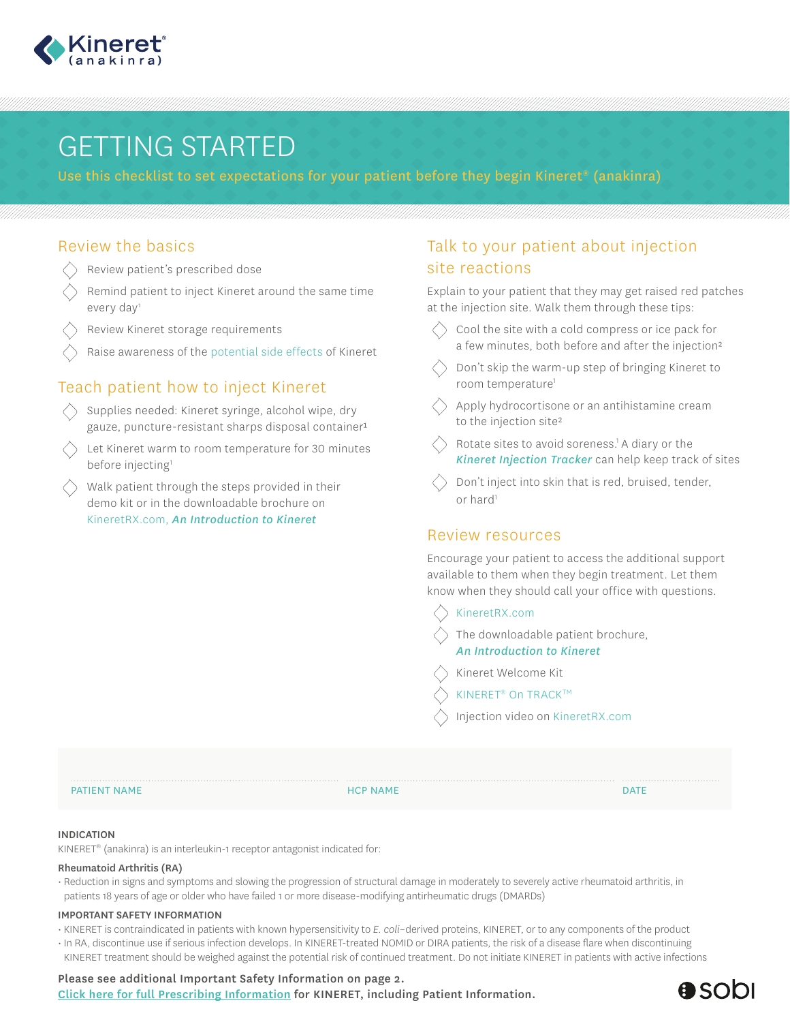

# GETTING STARTED

Use this checklist to set expectations for your patient before they begin Kineret® (anakinra)

## Review the basics

- $\bigtriangleup$ Review patient's prescribed dose
- Remind patient to inject Kineret around the same time every day<sup>1</sup>
- Review Kineret storage requirements
- Raise awareness of the potential side effects of Kineret

# Teach patient how to inject Kineret

- Supplies needed: Kineret syringe, alcohol wipe, dry gauze, puncture-resistant sharps disposal container<sup>1</sup>
- Let Kineret warm to room temperature for 30 minutes before injecting<sup>1</sup>
- Walk patient through the steps provided in their demo kit or in the downloadable brochure on KineretRX.com, *An Introduction to Kineret*

# Talk to your patient about injection site reactions

Explain to your patient that they may get raised red patches at the injection site. Walk them through these tips:

- Cool the site with a cold compress or ice pack for a few minutes, both before and after the injection²
- Don't skip the warm-up step of bringing Kineret to room temperature<sup>1</sup>
- Apply hydrocortisone or an antihistamine cream to the injection site²
- Rotate sites to avoid soreness.<sup>1</sup> A diary or the *Kineret Injection Tracker* can help keep track of sites
- Don't inject into skin that is red, bruised, tender, or hard<sup>1</sup>

### Review resources

Encourage your patient to access the additional support available to them when they begin treatment. Let them know when they should call your office with questions.

#### KineretRX.com

The downloadable patient brochure, *An Introduction to Kineret*

- Kineret Welcome Kit
- KINERET<sup>®</sup> On TRACK™

Injection video on KineretRX.com

#### PATIENT NAME DATE IS A REPORT OF THE REPORT OF THE REPORT OF THE REPORT OF THE REPORT OF THE REPORT OF THE REPORT OF THE REPORT OF THE REPORT OF THE REPORT OF THE REPORT OF THE REPORT OF THE REPORT OF THE REPORT OF THE REP

#### INDICATION

KINERET® (anakinra) is an interleukin-1 receptor antagonist indicated for:

#### Rheumatoid Arthritis (RA)

• Reduction in signs and symptoms and slowing the progression of structural damage in moderately to severely active rheumatoid arthritis, in patients 18 years of age or older who have failed 1 or more disease-modifying antirheumatic drugs (DMARDs)

#### IMPORTANT SAFETY INFORMATION

• KINERET is contraindicated in patients with known hypersensitivity to *E. coli*–derived proteins, KINERET, or to any components of the product

• In RA, discontinue use if serious infection develops. In KINERET-treated NOMID or DIRA patients, the risk of a disease flare when discontinuing KINERET treatment should be weighed against the potential risk of continued treatment. Do not initiate KINERET in patients with active infections

# Please see additional Important Safety Information on page 2.

[Click here for full Prescribing Information f](https://www.kineretrx.com/hcp/pdf/Full-Prescribing-Information-English.pdf)or KINERET, including Patient Information.